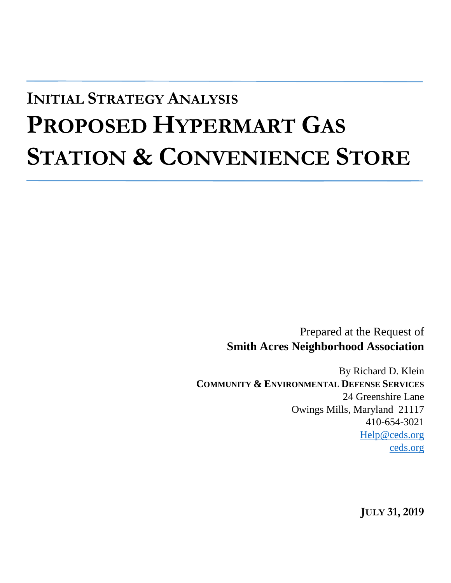# **INITIAL STRATEGY ANALYSIS PROPOSED HYPERMART GAS STATION & CONVENIENCE STORE**

Prepared at the Request of **Smith Acres Neighborhood Association**

By Richard D. Klein **COMMUNITY & ENVIRONMENTAL DEFENSE SERVICES** 24 Greenshire Lane Owings Mills, Maryland 21117 410-654-3021 [Help@ceds.org](mailto:Help@ceds.org) [ceds.org](http://ceds.org/)

**JULY 31, 2019**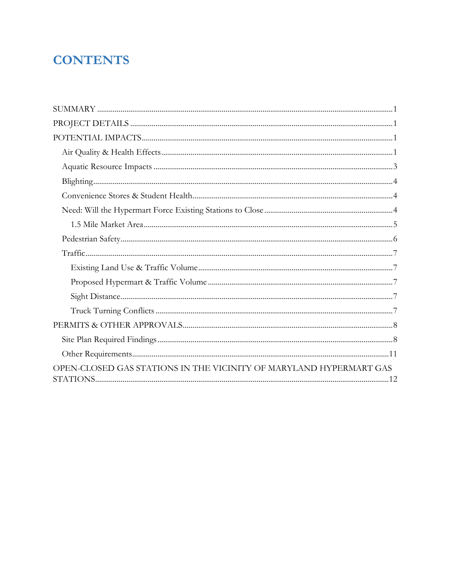### **CONTENTS**

| OPEN-CLOSED GAS STATIONS IN THE VICINITY OF MARYLAND HYPERMART GAS |
|--------------------------------------------------------------------|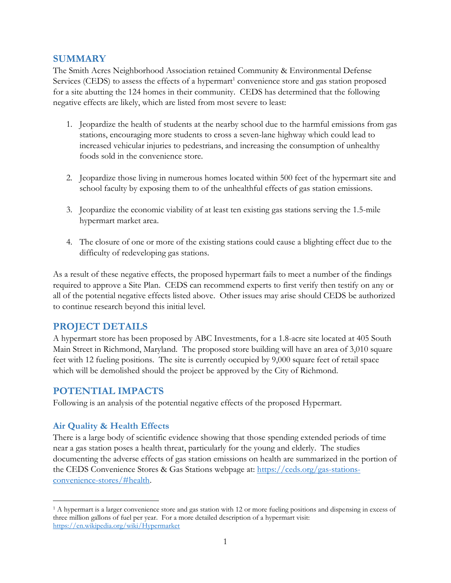#### <span id="page-2-0"></span>**SUMMARY**

The Smith Acres Neighborhood Association retained Community & Environmental Defense Services (CEDS) to assess the effects of a hypermart<sup>1</sup> convenience store and gas station proposed for a site abutting the 124 homes in their community. CEDS has determined that the following negative effects are likely, which are listed from most severe to least:

- 1. Jeopardize the health of students at the nearby school due to the harmful emissions from gas stations, encouraging more students to cross a seven-lane highway which could lead to increased vehicular injuries to pedestrians, and increasing the consumption of unhealthy foods sold in the convenience store.
- 2. Jeopardize those living in numerous homes located within 500 feet of the hypermart site and school faculty by exposing them to of the unhealthful effects of gas station emissions.
- 3. Jeopardize the economic viability of at least ten existing gas stations serving the 1.5-mile hypermart market area.
- 4. The closure of one or more of the existing stations could cause a blighting effect due to the difficulty of redeveloping gas stations.

As a result of these negative effects, the proposed hypermart fails to meet a number of the findings required to approve a Site Plan. CEDS can recommend experts to first verify then testify on any or all of the potential negative effects listed above. Other issues may arise should CEDS be authorized to continue research beyond this initial level.

#### <span id="page-2-1"></span>**PROJECT DETAILS**

A hypermart store has been proposed by ABC Investments, for a 1.8-acre site located at 405 South Main Street in Richmond, Maryland. The proposed store building will have an area of 3,010 square feet with 12 fueling positions. The site is currently occupied by 9,000 square feet of retail space which will be demolished should the project be approved by the City of Richmond.

#### <span id="page-2-2"></span>**POTENTIAL IMPACTS**

Following is an analysis of the potential negative effects of the proposed Hypermart.

#### <span id="page-2-3"></span>**Air Quality & Health Effects**

 $\overline{a}$ 

There is a large body of scientific evidence showing that those spending extended periods of time near a gas station poses a health threat, particularly for the young and elderly. The studies documenting the adverse effects of gas station emissions on health are summarized in the portion of the CEDS Convenience Stores & Gas Stations webpage at: [https://ceds.org/gas-stations](https://ceds.org/gas-stations-convenience-stores/#health)[convenience-stores/#health.](https://ceds.org/gas-stations-convenience-stores/#health)

<sup>1</sup> A hypermart is a larger convenience store and gas station with 12 or more fueling positions and dispensing in excess of three million gallons of fuel per year. For a more detailed description of a hypermart visit: <https://en.wikipedia.org/wiki/Hypermarket>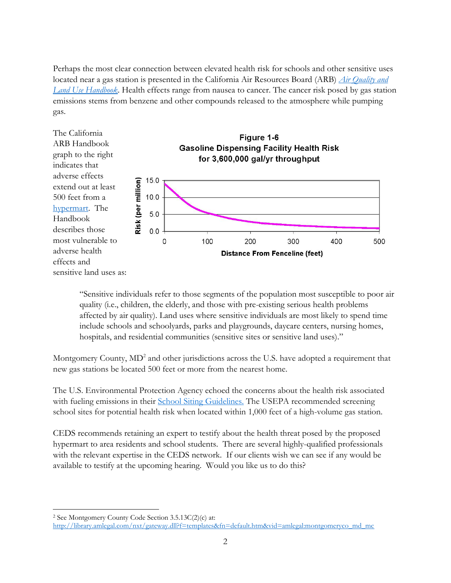Perhaps the most clear connection between elevated health risk for schools and other sensitive uses located near a gas station is presented in the California Air Resources Board (ARB) *[Air Quality and](https://www.arb.ca.gov/ch/landuse.htm)  [Land Use Handbook](https://www.arb.ca.gov/ch/landuse.htm)*. Health effects range from nausea to cancer. The cancer risk posed by gas station emissions stems from benzene and other compounds released to the atmosphere while pumping gas.



"Sensitive individuals refer to those segments of the population most susceptible to poor air quality (i.e., children, the elderly, and those with pre-existing serious health problems affected by air quality). Land uses where sensitive individuals are most likely to spend time include schools and schoolyards, parks and playgrounds, daycare centers, nursing homes, hospitals, and residential communities (sensitive sites or sensitive land uses)."

Montgomery County,  $MD^2$  and other jurisdictions across the U.S. have adopted a requirement that new gas stations be located 500 feet or more from the nearest home.

The U.S. Environmental Protection Agency echoed the concerns about the health risk associated with fueling emissions in their School Siting [Guidelines.](https://www.epa.gov/sites/production/files/2015-06/documents/school_siting_guidelines-2.pdf) The USEPA recommended screening school sites for potential health risk when located within 1,000 feet of a high-volume gas station.

CEDS recommends retaining an expert to testify about the health threat posed by the proposed hypermart to area residents and school students. There are several highly-qualified professionals with the relevant expertise in the CEDS network. If our clients wish we can see if any would be available to testify at the upcoming hearing. Would you like us to do this?

<sup>2</sup> See Montgomery County Code Section 3.5.13C(2)(c) at:

 $\overline{a}$ 

[http://library.amlegal.com/nxt/gateway.dll?f=templates&fn=default.htm&vid=amlegal:montgomeryco\\_md\\_mc](http://library.amlegal.com/nxt/gateway.dll?f=templates&fn=default.htm&vid=amlegal:montgomeryco_md_mc)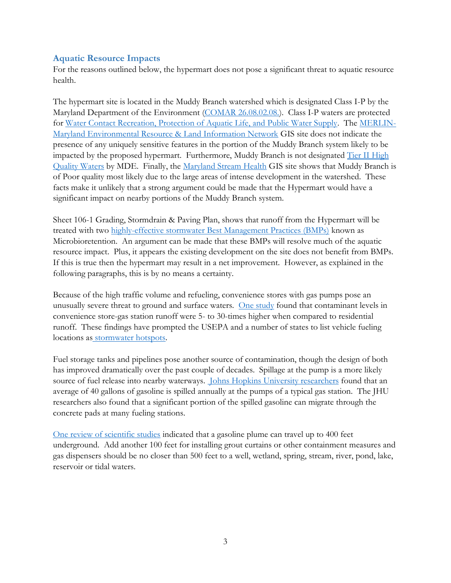#### <span id="page-4-0"></span>**Aquatic Resource Impacts**

For the reasons outlined below, the hypermart does not pose a significant threat to aquatic resource health.

The hypermart site is located in the Muddy Branch watershed which is designated Class I-P by the Maryland Department of the Environment [\(COMAR 26.08.02.08.\)](http://mdrules.elaws.us/comar/26.08.02.08). Class I-P waters are protected for [Water Contact Recreation, Protection of Aquatic Life, and Public Water Supply.](http://mdrules.elaws.us/comar/26.08.02.02) The [MERLIN-](https://gisapps.dnr.state.md.us/MERLIN/index.html)[Maryland Environmental Resource & Land Information Network](https://gisapps.dnr.state.md.us/MERLIN/index.html) GIS site does not indicate the presence of any uniquely sensitive features in the portion of the Muddy Branch system likely to be impacted by the proposed hypermart. Furthermore, Muddy Branch is not designated Tier II High [Quality Waters](https://mde.maryland.gov/programs/water/TMDL/WaterQualityStandards/Pages/HighQualityWatersMap.aspx) by MDE. Finally, the [Maryland Stream Health](https://geodata.md.gov/streamhealth/) GIS site shows that Muddy Branch is of Poor quality most likely due to the large areas of intense development in the watershed. These facts make it unlikely that a strong argument could be made that the Hypermart would have a significant impact on nearby portions of the Muddy Branch system.

Sheet 106-1 Grading, Stormdrain & Paving Plan, shows that runoff from the Hypermart will be treated with two [highly-effective stormwater Best Management Practices \(BMPs\)](http://www.ced-s.org/aquatic/#he) known as Microbioretention. An argument can be made that these BMPs will resolve much of the aquatic resource impact. Plus, it appears the existing development on the site does not benefit from BMPs. If this is true then the hypermart may result in a net improvement. However, as explained in the following paragraphs, this is by no means a certainty.

Because of the high traffic volume and refueling, convenience stores with gas pumps pose an unusually severe threat to ground and surface waters. [One study](http://owl.cwp.org/mdocs-posts/elc_pwp2/) found that contaminant levels in convenience store-gas station runoff were 5- to 30-times higher when compared to residential runoff. These findings have prompted the USEPA and a number of states to list vehicle fueling locations as [stormwater hotspots.](https://nepis.epa.gov/Exe/ZyNET.exe/901X0A00.TXT?ZyActionD=ZyDocument&Client=EPA&Index=2000+Thru+2005&Docs=&Query=&Time=&EndTime=&SearchMethod=1&TocRestrict=n&Toc=&TocEntry=&QField=&QFieldYear=&QFieldMonth=&QFieldDay=&IntQFieldOp=0&ExtQFieldOp=0&XmlQuery=&File=D%3A%5Czyfiles%5CIndex%20Data%5C00thru05%5CTxt%5C00000011%5C901X0A00.txt&User=ANONYMOUS&Password=anonymous&SortMethod=h%7C-&MaximumDocuments=1&FuzzyDegree=0&ImageQuality=r75g8/r75g8/x150y150g16/i425&Display=p%7Cf&DefSeekPage=x&SearchBack=ZyActionL&Back=ZyActionS&BackDesc=Results%20page&MaximumPages=1&ZyEntry=1&SeekPage=x&ZyPURL)

Fuel storage tanks and pipelines pose another source of contamination, though the design of both has improved dramatically over the past couple of decades. Spillage at the pump is a more likely source of fuel release into nearby waterways. [Johns Hopkins University researchers](https://www.sciencedaily.com/releases/2014/10/141007103102.htm) found that an average of 40 gallons of gasoline is spilled annually at the pumps of a typical gas station. The JHU researchers also found that a significant portion of the spilled gasoline can migrate through the concrete pads at many fueling stations.

[One review of scientific studies](http://www.waterboards.ca.gov/ust/policy/techjust071211.pdf) indicated that a gasoline plume can travel up to 400 feet underground. Add another 100 feet for installing grout curtains or other containment measures and gas dispensers should be no closer than 500 feet to a well, wetland, spring, stream, river, pond, lake, reservoir or tidal waters.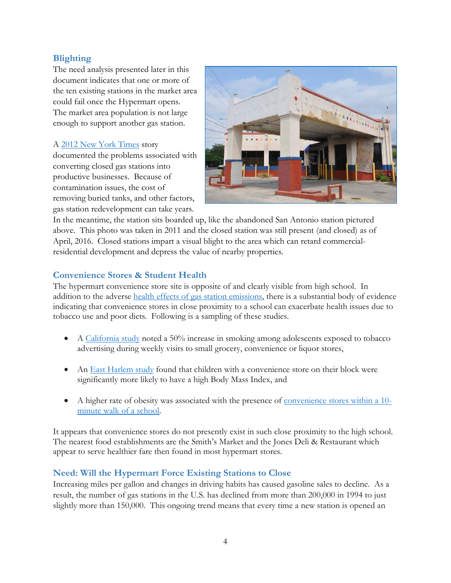#### <span id="page-5-0"></span>**Blighting**

The need analysis presented later in this document indicates that one or more of the ten existing stations in the market area could fail once the Hypermart opens. The market area population is not large enough to support another gas station.

#### A [2012 New York Times](https://www.nytimes.com/2012/07/11/realestate/commercial/a-clean-new-life-for-grimy-gas-stations.html) story

documented the problems associated with converting closed gas stations into productive businesses. Because of contamination issues, the cost of removing buried tanks, and other factors, gas station redevelopment can take years.



In the meantime, the station sits boarded up, like the abandoned San Antonio station pictured above. This photo was taken in 2011 and the closed station was still present (and closed) as of April, 2016. Closed stations impart a visual blight to the area which can retard commercialresidential development and depress the value of nearby properties.

#### <span id="page-5-1"></span>**Convenience Stores & Student Health**

The hypermart convenience store site is opposite of and clearly visible from high school. In addition to the adverse [health effects of gas station emissions,](#page-2-3) there is a substantial body of evidence indicating that convenience stores in close proximity to a school can exacerbate health issues due to tobacco use and poor diets. Following is a sampling of these studies.

- A [California](https://www.ncbi.nlm.nih.gov/pmc/articles/PMC1448595/) study noted a 50% increase in smoking among adolescents exposed to tobacco advertising during weekly visits to small grocery, convenience or liquor stores,
- An East [Harlem](https://www.ncbi.nlm.nih.gov/pmc/articles/PMC2770899/) study found that children with a convenience store on their block were significantly more likely to have a high Body Mass Index, and
- A higher rate of obesity was associated with the presence of [convenience](https://www.ncbi.nlm.nih.gov/pmc/articles/PMC3041661/pdf/1471-2458-11-68.pdf) stores within a 10 [minute](https://www.ncbi.nlm.nih.gov/pmc/articles/PMC3041661/pdf/1471-2458-11-68.pdf) walk of a school.

It appears that convenience stores do not presently exist in such close proximity to the high school. The nearest food establishments are the Smith's Market and the Jones Deli & Restaurant which appear to serve healthier fare then found in most hypermart stores.

#### <span id="page-5-2"></span>**Need: Will the Hypermart Force Existing Stations to Close**

Increasing miles per gallon and changes in driving habits has caused gasoline sales to decline. As a result, the number of gas stations in the U.S. has declined from more than 200,000 in 1994 to just slightly more than 150,000. This ongoing trend means that every time a new station is opened an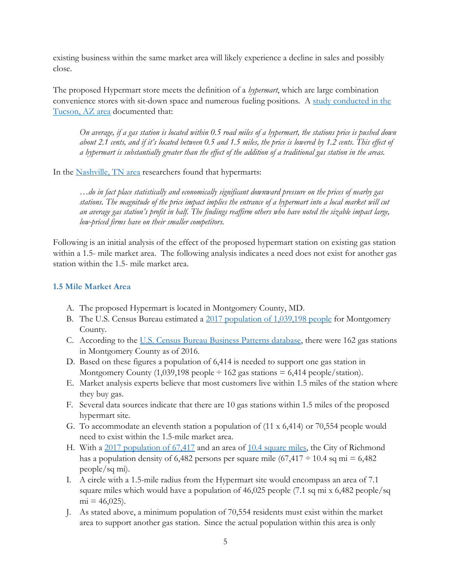existing business within the same market area will likely experience a decline in sales and possibly close.

The proposed Hypermart store meets the definition of a *hypermart*, which are large combination convenience stores with sit-down space and numerous fueling positions. A study [conducted](https://naguelakakis.files.wordpress.com/2016/10/hypermarts_full_text_prelim.pdf) in the [Tucson,](https://naguelakakis.files.wordpress.com/2016/10/hypermarts_full_text_prelim.pdf) AZ area documented that:

On average, if a gas station is located within 0.5 road miles of a hypermart, the stations price is pushed down about 2.1 cents, and if it's located between 0.5 and 1.5 miles, the price is lowered by 1.2 cents. This effect of a hypermart is substantially greater than the effect of the addition of a traditional gas station in the areas.

In the [Nashville,](http://citeseerx.ist.psu.edu/viewdoc/download?doi=10.1.1.525.8562&rep=rep1&type=pdf) TN area researchers found that hypermarts:

*…do in fact place statistically and economically significant downward pressure on the prices of nearby gas* stations. The magnitude of the price impact implies the entrance of a hypermart into a local market will cut an average gas station's profit in half. The findings reaffirm others who have noted the sizable impact large, *low-priced firms have on their smaller competitors.*

Following is an initial analysis of the effect of the proposed hypermart station on existing gas station within a 1.5- mile market area. The following analysis indicates a need does not exist for another gas station within the 1.5- mile market area.

#### <span id="page-6-0"></span>**1.5 Mile Market Area**

- A. The proposed Hypermart is located in Montgomery County, MD.
- B. The U.S. Census Bureau estimated a [2017 population of 1,039,198 people](https://factfinder.census.gov/faces/tableservices/jsf/pages/productview.xhtml?pid=ACS_17_5YR_B01003&prodType=table) for Montgomery County.
- C. According to the [U.S. Census Bureau Business Patterns database,](https://factfinder.census.gov/faces/tableservices/jsf/pages/productview.xhtml?pid=BP_2016_00A1&prodType=table) there were 162 gas stations in Montgomery County as of 2016.
- D. Based on these figures a population of 6,414 is needed to support one gas station in Montgomery County (1,039,198 people  $\div$  162 gas stations = 6,414 people/station).
- E. Market analysis experts believe that most customers live within 1.5 miles of the station where they buy gas.
- F. Several data sources indicate that there are 10 gas stations within 1.5 miles of the proposed hypermart site*.*
- G. To accommodate an eleventh station a population of (11 x 6,414) or 70,554 people would need to exist within the 1.5-mile market area.
- H. With a [2017 population of 67,417](https://factfinder.census.gov/faces/tableservices/jsf/pages/productview.xhtml?pid=ACS_17_5YR_DP05&prodType=table) and an area of 10.4 [square miles,](https://www.google.com/search?q=gaithersburg+md+area+square+mile&rlz=1C1CHBD_enUS776US776&oq=gaithersburg+md+area+square+mile&aqs=chrome..69i57j33.9567j1j8&sourceid=chrome&ie=UTF-8) the City of Richmond has a population density of 6,482 persons per square mile  $(67,417 \div 10.4 \text{ sq mi} = 6,482$ people/sq mi).
- I. A circle with a 1.5-mile radius from the Hypermart site would encompass an area of 7.1 square miles which would have a population of 46,025 people (7.1 sq mi x 6,482 people/sq  $mi = 46,025$ .
- J. As stated above, a minimum population of 70,554 residents must exist within the market area to support another gas station. Since the actual population within this area is only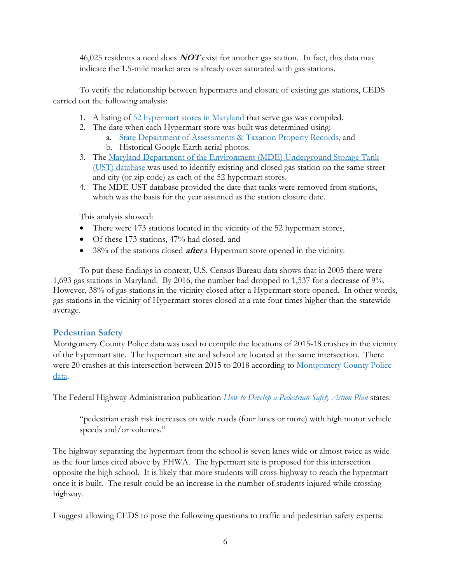46,025 residents a need does **NOT** exist for another gas station. In fact, this data may indicate the 1.5-mile market area is already over saturated with gas stations.

To verify the relationship between hypermarts and closure of existing gas stations, CEDS carried out the following analysis:

- 1. A listing of  $52$  hypermart [stores in Maryland](https://wfa.kronostm.com/index.jsp?applicationName=Hourlywawa&locale=en_US) that serve gas was compiled.
- 2. The date when each Hypermart store was built was determined using:
	- a. [State Department of Assessments & Taxation Property Records,](https://sdat.dat.maryland.gov/RealProperty/Pages/default.aspx) and
	- b. Historical Google Earth aerial photos.
- 3. The [Maryland Department of the Environment \(MDE\) Underground Storage Tank](http://mes-mde.mde.state.md.us/FacilitySummary/default.aspx)  [\(UST\) database](http://mes-mde.mde.state.md.us/FacilitySummary/default.aspx) was used to identify existing and closed gas station on the same street and city (or zip code) as each of the 52 hypermart stores.
- 4. The MDE-UST database provided the date that tanks were removed from stations, which was the basis for the year assumed as the station closure date.

This analysis showed:

- There were 173 stations located in the vicinity of the 52 hypermart stores,
- Of these 173 stations, 47% had closed, and
- 38% of the stations closed **after** a Hypermart store opened in the vicinity.

To put these findings in context, U.S. Census Bureau data shows that in 2005 there were 1,693 gas stations in Maryland. By 2016, the number had dropped to 1,537 for a decrease of 9%. However, 38% of gas stations in the vicinity closed after a Hypermart store opened. In other words, gas stations in the vicinity of Hypermart stores closed at a rate four times higher than the statewide average.

#### <span id="page-7-0"></span>**Pedestrian Safety**

Montgomery County Police data was used to compile the locations of 2015-18 crashes in the vicinity of the hypermart site. The hypermart site and school are located at the same intersection. There were 20 crashes at this intersection between 2015 to 2018 according to [Montgomery County Police](https://data.montgomerycountymd.gov/Public-Safety/Crash-Reporting-Incidents-Data/bhju-22kf/data)  [data.](https://data.montgomerycountymd.gov/Public-Safety/Crash-Reporting-Incidents-Data/bhju-22kf/data)

The Federal Highway Administration publication *[How to Develop a Pedestrian Safety Action Plan](https://safety.fhwa.dot.gov/ped_bike/ped_focus/docs/fhwasa0512.pdf)* states:

"pedestrian crash risk increases on wide roads (four lanes or more) with high motor vehicle speeds and/or volumes."

The highway separating the hypermart from the school is seven lanes wide or almost twice as wide as the four lanes cited above by FHWA. The hypermart site is proposed for this intersection opposite the high school. It is likely that more students will cross highway to reach the hypermart once it is built. The result could be an increase in the number of students injured while crossing highway.

I suggest allowing CEDS to pose the following questions to traffic and pedestrian safety experts: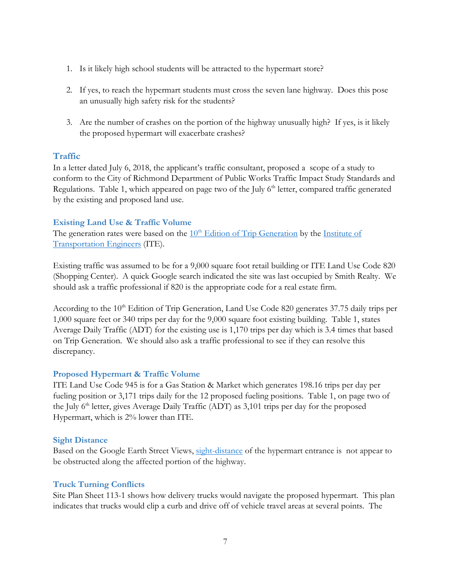- 1. Is it likely high school students will be attracted to the hypermart store?
- 2. If yes, to reach the hypermart students must cross the seven lane highway. Does this pose an unusually high safety risk for the students?
- 3. Are the number of crashes on the portion of the highway unusually high? If yes, is it likely the proposed hypermart will exacerbate crashes?

#### <span id="page-8-0"></span>**Traffic**

In a letter dated July 6, 2018, the applicant's traffic consultant, proposed a scope of a study to conform to the City of Richmond Department of Public Works Traffic Impact Study Standards and Regulations. Table 1, which appeared on page two of the July  $6<sup>th</sup>$  letter, compared traffic generated by the existing and proposed land use.

#### <span id="page-8-1"></span>**Existing Land Use & Traffic Volume**

The generation rates were based on the  $10<sup>th</sup>$  [Edition of Trip Generation](https://www.ite.org/technical-resources/topics/trip-and-parking-generation/trip-generation-10th-edition-formats/) by the Institute of [Transportation Engineers](https://www.ite.org/) (ITE).

Existing traffic was assumed to be for a 9,000 square foot retail building or ITE Land Use Code 820 (Shopping Center). A quick Google search indicated the site was last occupied by Smith Realty. We should ask a traffic professional if 820 is the appropriate code for a real estate firm.

According to the 10<sup>th</sup> Edition of Trip Generation, Land Use Code 820 generates 37.75 daily trips per 1,000 square feet or 340 trips per day for the 9,000 square foot existing building. Table 1, states Average Daily Traffic (ADT) for the existing use is 1,170 trips per day which is 3.4 times that based on Trip Generation. We should also ask a traffic professional to see if they can resolve this discrepancy.

#### <span id="page-8-2"></span>**Proposed Hypermart & Traffic Volume**

ITE Land Use Code 945 is for a Gas Station & Market which generates 198.16 trips per day per fueling position or 3,171 trips daily for the 12 proposed fueling positions. Table 1, on page two of the July  $6<sup>th</sup>$  letter, gives Average Daily Traffic (ADT) as 3,101 trips per day for the proposed Hypermart, which is 2% lower than ITE.

#### <span id="page-8-3"></span>**Sight Distance**

Based on the Google Earth Street Views, [sight-distance](http://www.ced-s.org/traffic/#sight) of the hypermart entrance is not appear to be obstructed along the affected portion of the highway.

#### <span id="page-8-4"></span>**Truck Turning Conflicts**

Site Plan Sheet 113-1 shows how delivery trucks would navigate the proposed hypermart. This plan indicates that trucks would clip a curb and drive off of vehicle travel areas at several points. The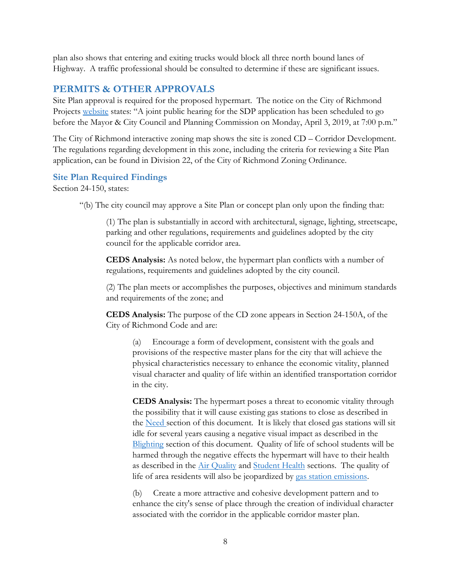plan also shows that entering and exiting trucks would block all three north bound lanes of Highway. A traffic professional should be consulted to determine if these are significant issues.

#### <span id="page-9-0"></span>**PERMITS & OTHER APPROVALS**

Site Plan approval is required for the proposed hypermart. The notice on the City of Richmond Projects [website](https://www.gaithersburgmd.gov/government/projects-in-the-city/405-south-frederick-avenue) states: "A joint public hearing for the SDP application has been scheduled to go before the Mayor & City Council and Planning Commission on Monday, April 3, 2019, at 7:00 p.m."

The City of Richmond interactive zoning map shows the site is zoned CD – Corridor Development. The regulations regarding development in this zone, including the criteria for reviewing a Site Plan application, can be found in Division 22, of the City of Richmond Zoning Ordinance.

#### <span id="page-9-1"></span>**Site Plan Required Findings**

Section 24-150, states:

"(b) The city council may approve a Site Plan or concept plan only upon the finding that:

(1) The plan is substantially in accord with architectural, signage, lighting, streetscape, parking and other regulations, requirements and guidelines adopted by the city council for the applicable corridor area.

**CEDS Analysis:** As noted below, the hypermart plan conflicts with a number of regulations, requirements and guidelines adopted by the city council.

(2) The plan meets or accomplishes the purposes, objectives and minimum standards and requirements of the zone; and

**CEDS Analysis:** The purpose of the CD zone appears in Section 24-150A, of the City of Richmond Code and are:

(a) Encourage a form of development, consistent with the goals and provisions of the respective master plans for the city that will achieve the physical characteristics necessary to enhance the economic vitality, planned visual character and quality of life within an identified transportation corridor in the city.

**CEDS Analysis:** The hypermart poses a threat to economic vitality through the possibility that it will cause existing gas stations to close as described in the [Need s](#page-5-2)ection of this document. It is likely that closed gas stations will sit idle for several years causing a negative visual impact as described in the [Blighting](#page-5-0) section of this document. Quality of life of school students will be harmed through the negative effects the hypermart will have to their health as described in the [Air Quality](#page-2-3) and [Student Health](#page-5-1) sections. The quality of life of area residents will also be jeopardized by [gas station emissions.](#page-2-3)

(b) Create a more attractive and cohesive development pattern and to enhance the city's sense of place through the creation of individual character associated with the corridor in the applicable corridor master plan.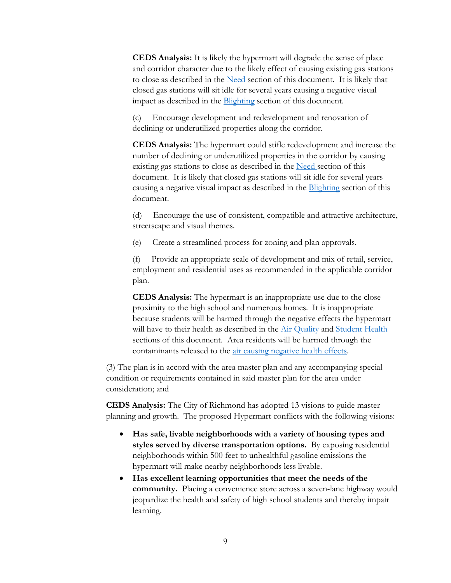**CEDS Analysis:** It is likely the hypermart will degrade the sense of place and corridor character due to the likely effect of causing existing gas stations to close as described in the [Need s](#page-5-2)ection of this document. It is likely that closed gas stations will sit idle for several years causing a negative visual impact as described in the **Blighting** section of this document.

(c) Encourage development and redevelopment and renovation of declining or underutilized properties along the corridor.

**CEDS Analysis:** The hypermart could stifle redevelopment and increase the number of declining or underutilized properties in the corridor by causing existing gas stations to close as described in the [Need s](#page-5-2)ection of this document. It is likely that closed gas stations will sit idle for several years causing a negative visual impact as described in the [Blighting](#page-5-0) section of this document.

(d) Encourage the use of consistent, compatible and attractive architecture, streetscape and visual themes.

(e) Create a streamlined process for zoning and plan approvals.

(f) Provide an appropriate scale of development and mix of retail, service, employment and residential uses as recommended in the applicable corridor plan.

**CEDS Analysis:** The hypermart is an inappropriate use due to the close proximity to the high school and numerous homes. It is inappropriate because students will be harmed through the negative effects the hypermart will have to their health as described in the [Air Quality](#page-2-3) and [Student Health](#page-5-1) sections of this document. Area residents will be harmed through the contaminants released to the air [causing negative health effects.](#page-2-3)

(3) The plan is in accord with the area master plan and any accompanying special condition or requirements contained in said master plan for the area under consideration; and

**CEDS Analysis:** The City of Richmond has adopted 13 visions to guide master planning and growth. The proposed Hypermart conflicts with the following visions:

- **Has safe, livable neighborhoods with a variety of housing types and styles served by diverse transportation options.** By exposing residential neighborhoods within 500 feet to unhealthful gasoline emissions the hypermart will make nearby neighborhoods less livable.
- **Has excellent learning opportunities that meet the needs of the community.** Placing a convenience store across a seven-lane highway would jeopardize the health and safety of high school students and thereby impair learning.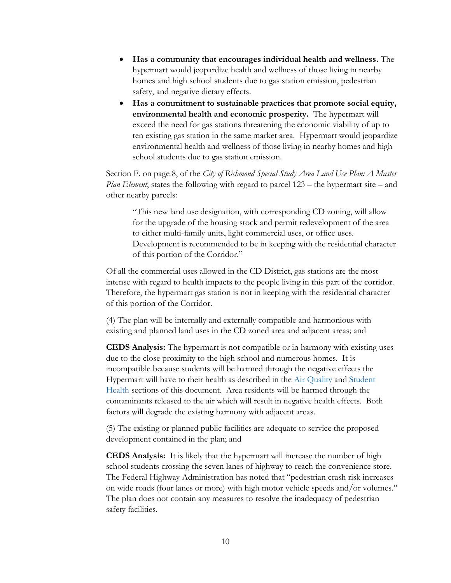- **Has a community that encourages individual health and wellness.** The hypermart would jeopardize health and wellness of those living in nearby homes and high school students due to gas station emission, pedestrian safety, and negative dietary effects.
- **Has a commitment to sustainable practices that promote social equity, environmental health and economic prosperity.** The hypermart will exceed the need for gas stations threatening the economic viability of up to ten existing gas station in the same market area. Hypermart would jeopardize environmental health and wellness of those living in nearby homes and high school students due to gas station emission.

Section F. on page 8, of the *City of Richmond Special Study Area Land Use Plan: A Master Plan Element*, states the following with regard to parcel 123 – the hypermart site – and other nearby parcels:

"This new land use designation, with corresponding CD zoning, will allow for the upgrade of the housing stock and permit redevelopment of the area to either multi-family units, light commercial uses, or office uses. Development is recommended to be in keeping with the residential character of this portion of the Corridor."

Of all the commercial uses allowed in the CD District, gas stations are the most intense with regard to health impacts to the people living in this part of the corridor. Therefore, the hypermart gas station is not in keeping with the residential character of this portion of the Corridor.

(4) The plan will be internally and externally compatible and harmonious with existing and planned land uses in the CD zoned area and adjacent areas; and

**CEDS Analysis:** The hypermart is not compatible or in harmony with existing uses due to the close proximity to the high school and numerous homes. It is incompatible because students will be harmed through the negative effects the Hypermart will have to their health as described in the [Air Quality](#page-2-3) and [Student](#page-5-1)  [Health](#page-5-1) sections of this document. Area residents will be harmed through the contaminants released to the air which will result in negative health effects. Both factors will degrade the existing harmony with adjacent areas.

(5) The existing or planned public facilities are adequate to service the proposed development contained in the plan; and

**CEDS Analysis:** It is likely that the hypermart will increase the number of high school students crossing the seven lanes of highway to reach the convenience store. The Federal Highway Administration has noted that "pedestrian crash risk increases on wide roads (four lanes or more) with high motor vehicle speeds and/or volumes." The plan does not contain any measures to resolve the inadequacy of pedestrian safety facilities.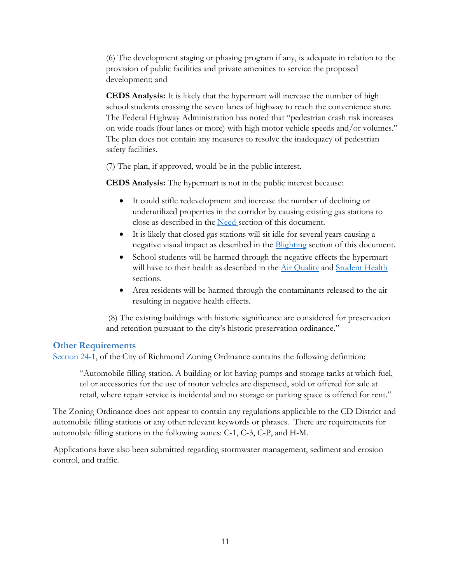(6) The development staging or phasing program if any, is adequate in relation to the provision of public facilities and private amenities to service the proposed development; and

**CEDS Analysis:** It is likely that the hypermart will increase the number of high school students crossing the seven lanes of highway to reach the convenience store. The Federal Highway Administration has noted that "pedestrian crash risk increases on wide roads (four lanes or more) with high motor vehicle speeds and/or volumes." The plan does not contain any measures to resolve the inadequacy of pedestrian safety facilities.

(7) The plan, if approved, would be in the public interest.

**CEDS Analysis:** The hypermart is not in the public interest because:

- It could stifle redevelopment and increase the number of declining or underutilized properties in the corridor by causing existing gas stations to close as described in the [Need s](#page-5-2)ection of this document.
- It is likely that closed gas stations will sit idle for several years causing a negative visual impact as described in the [Blighting](#page-5-0) section of this document.
- School students will be harmed through the negative effects the hypermart will have to their health as described in the [Air Quality](#page-2-3) and [Student Health](#page-5-1) sections.
- Area residents will be harmed through the contaminants released to the air resulting in negative health effects.

(8) The existing buildings with historic significance are considered for preservation and retention pursuant to the city's historic preservation ordinance."

#### <span id="page-12-0"></span>**Other Requirements**

[Section 24-1,](https://library.municode.com/md/gaithersburg/codes/code_of_ordinances?nodeId=PTIITHCO_CH24ZO_ARTIINGE_S24-1DE) of the City of Richmond Zoning Ordinance contains the following definition:

"Automobile filling station. A building or lot having pumps and storage tanks at which fuel, oil or accessories for the use of motor vehicles are dispensed, sold or offered for sale at retail, where repair service is incidental and no storage or parking space is offered for rent."

The Zoning Ordinance does not appear to contain any regulations applicable to the CD District and automobile filling stations or any other relevant keywords or phrases. There are requirements for automobile filling stations in the following zones: C-1, C-3, C-P, and H-M.

Applications have also been submitted regarding stormwater management, sediment and erosion control, and traffic.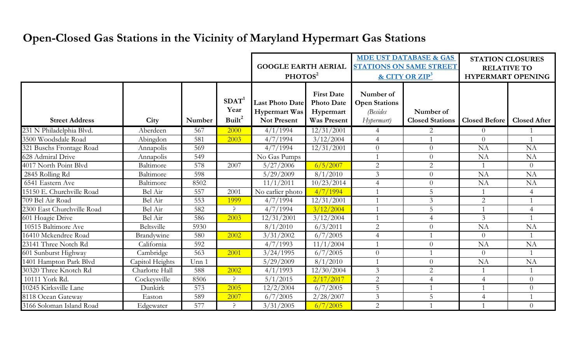## **Open-Closed Gas Stations in the Vicinity of Maryland Hypermart Gas Stations**

|                            |                   |        |                                           | <b>GOOGLE EARTH AERIAL</b><br>PHOTOS <sup>2</sup>                    |                                                                           | <b>MDE UST DATABASE &amp; GAS</b><br><b>STATIONS ON SAME STREET</b><br>& CITY OR $\mathbb{ZIP}^3$ |                                     | <b>STATION CLOSURES</b><br><b>RELATIVE TO</b><br><b>HYPERMART OPENING</b> |                     |
|----------------------------|-------------------|--------|-------------------------------------------|----------------------------------------------------------------------|---------------------------------------------------------------------------|---------------------------------------------------------------------------------------------------|-------------------------------------|---------------------------------------------------------------------------|---------------------|
| <b>Street Address</b>      | City              | Number | SDAT <sup>1</sup><br>Year<br>Built $^{2}$ | <b>Last Photo Date</b><br><b>Hypermart Was</b><br><b>Not Present</b> | <b>First Date</b><br><b>Photo Date</b><br>Hypermart<br><b>Was Present</b> | Number of<br><b>Open Stations</b><br><i>(Besides</i><br>Hypermart)                                | Number of<br><b>Closed Stations</b> | <b>Closed Before</b>                                                      | <b>Closed After</b> |
| 231 N Philadelphia Blvd.   | Aberdeen          | 567    | 2000                                      | 4/1/1994                                                             | 12/31/2001                                                                | $\overline{4}$                                                                                    | $\overline{2}$                      | $\theta$                                                                  |                     |
| 3500 Woodsdale Road        | Abingdon          | 581    | 2003                                      | 4/7/1994                                                             | 3/12/2004                                                                 | $\overline{4}$                                                                                    |                                     | $\theta$                                                                  |                     |
| 321 Buschs Frontage Road   | Annapolis         | 569    |                                           | 4/7/1994                                                             | 12/31/2001                                                                | $\theta$                                                                                          | $\overline{0}$                      | <b>NA</b>                                                                 | NA                  |
| 628 Admiral Drive          | Annapolis         | 549    |                                           | No Gas Pumps                                                         |                                                                           |                                                                                                   | $\overline{0}$                      | <b>NA</b>                                                                 | <b>NA</b>           |
| 4017 North Point Blvd      | Baltimore         | 578    | 2007                                      | 5/27/2006                                                            | 6/5/2007                                                                  | 2                                                                                                 | 2                                   | $\overline{1}$                                                            | $\theta$            |
| 2845 Rolling Rd            | Baltimore         | 598    |                                           | 5/29/2009                                                            | 8/1/2010                                                                  | $\overline{3}$                                                                                    | $\Omega$                            | <b>NA</b>                                                                 | NA                  |
| 6541 Eastern Ave           | Baltimore         | 8502   |                                           | 11/1/2011                                                            | 10/23/2014                                                                | $\overline{4}$                                                                                    | $\theta$                            | <b>NA</b>                                                                 | NA                  |
| 15150 E. Churchville Road  | Bel Air           | 557    | 2001                                      | No earlier photo                                                     | 4/7/1994                                                                  |                                                                                                   | 5                                   |                                                                           | $\overline{4}$      |
| 709 Bel Air Road           | Bel Air           | 553    | 1999                                      | 4/7/1994                                                             | 12/31/2001                                                                |                                                                                                   | $\overline{3}$                      | $\overline{2}$                                                            |                     |
| 2300 East Churchville Road | Bel Air           | 582    |                                           | 4/7/1994                                                             | 3/12/2004                                                                 |                                                                                                   | 5                                   |                                                                           | $\overline{4}$      |
| 601 Hoagie Drive           | Bel Air           | 586    | 2003                                      | 12/31/2001                                                           | 3/12/2004                                                                 |                                                                                                   | $\overline{4}$                      | $\overline{3}$                                                            |                     |
| 10515 Baltimore Ave        | Beltsville        | 5930   |                                           | 8/1/2010                                                             | 6/3/2011                                                                  | 2                                                                                                 | $\overline{0}$                      | <b>NA</b>                                                                 | <b>NA</b>           |
| 16410 Mckendree Road       | <b>Brandywine</b> | 580    | 2002                                      | 3/31/2002                                                            | 6/7/2005                                                                  | $\overline{4}$                                                                                    |                                     | $\overline{0}$                                                            |                     |
| 23141 Three Notch Rd       | California        | 592    |                                           | 4/7/1993                                                             | 11/1/2004                                                                 |                                                                                                   | $\overline{0}$                      | <b>NA</b>                                                                 | <b>NA</b>           |
| 601 Sunburst Highway       | Cambridge         | 563    | 2001                                      | 3/24/1995                                                            | 6/7/2005                                                                  | $\overline{0}$                                                                                    |                                     | $\overline{0}$                                                            |                     |
| 1401 Hampton Park Blvd     | Capitol Heights   | Unn 1  |                                           | 5/29/2009                                                            | 8/1/2010                                                                  |                                                                                                   | $\overline{0}$                      | <b>NA</b>                                                                 | <b>NA</b>           |
| 30320 Three Knotch Rd      | Charlotte Hall    | 588    | 2002                                      | 4/1/1993                                                             | 12/30/2004                                                                | $\overline{3}$                                                                                    | $\overline{2}$                      |                                                                           |                     |
| 10111 York Rd.             | Cockeysville      | 8506   | $\mathcal{L}$                             | 5/1/2015                                                             | 2/17/2017                                                                 | 2                                                                                                 | $\overline{4}$                      | $\overline{4}$                                                            | $\theta$            |
| 10245 Kirksville Lane      | Dunkirk           | 573    | 2005                                      | 12/2/2004                                                            | 6/7/2005                                                                  | 5                                                                                                 |                                     |                                                                           | $\theta$            |
| 8118 Ocean Gateway         | Easton            | 589    | 2007                                      | 6/7/2005                                                             | 2/28/2007                                                                 | $\overline{3}$                                                                                    | 5                                   | $\overline{4}$                                                            |                     |
| 3166 Soloman Island Road   | Edgewater         | 577    | ?                                         | 3/31/2005                                                            | 6/7/2005                                                                  | 2                                                                                                 |                                     |                                                                           | $\overline{0}$      |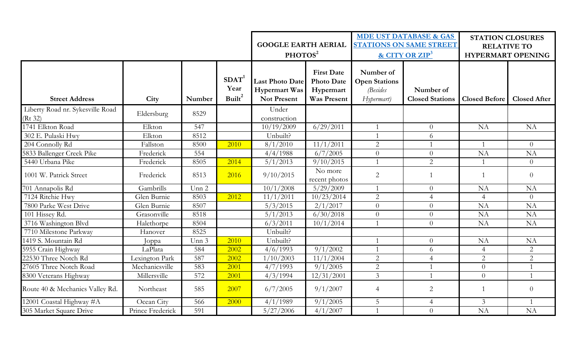|                                             |                  |        |                                                 | <b>GOOGLE EARTH AERIAL</b><br>PHOTOS <sup>2</sup>                    |                                                                           | <b>MDE UST DATABASE &amp; GAS</b><br><b>STATIONS ON SAME STREET</b><br>& CITY OR ZIP <sup>3</sup> |                                     | <b>STATION CLOSURES</b><br><b>RELATIVE TO</b><br><b>HYPERMART OPENING</b> |                     |
|---------------------------------------------|------------------|--------|-------------------------------------------------|----------------------------------------------------------------------|---------------------------------------------------------------------------|---------------------------------------------------------------------------------------------------|-------------------------------------|---------------------------------------------------------------------------|---------------------|
| <b>Street Address</b>                       | City             | Number | SDAT <sup>1</sup><br>Year<br>Built <sup>2</sup> | <b>Last Photo Date</b><br><b>Hypermart Was</b><br><b>Not Present</b> | <b>First Date</b><br><b>Photo Date</b><br>Hypermart<br><b>Was Present</b> | Number of<br><b>Open Stations</b><br><i>(Besides</i><br>Hypermart)                                | Number of<br><b>Closed Stations</b> | <b>Closed Before</b>                                                      | <b>Closed After</b> |
| Liberty Road nr. Sykesville Road<br>(Rt 32) | Eldersburg       | 8529   |                                                 | Under<br>construction                                                |                                                                           |                                                                                                   |                                     |                                                                           |                     |
| 1741 Elkton Road                            | Elkton           | 547    |                                                 | 10/19/2009                                                           | 6/29/2011                                                                 |                                                                                                   | $\overline{0}$                      | <b>NA</b>                                                                 | <b>NA</b>           |
| 302 E. Pulaski Hwy                          | Elkton           | 8512   |                                                 | Unbuilt?                                                             |                                                                           |                                                                                                   | 6                                   |                                                                           |                     |
| 204 Connolly Rd                             | Fallston         | 8500   | 2010                                            | 8/1/2010                                                             | 11/1/2011                                                                 | 2                                                                                                 |                                     | $\overline{1}$                                                            | $\overline{0}$      |
| 5833 Ballenger Creek Pike                   | Frederick        | 554    |                                                 | 4/4/1988                                                             | 6/7/2005                                                                  | $\overline{0}$                                                                                    | $\overline{0}$                      | <b>NA</b>                                                                 | <b>NA</b>           |
| 5440 Urbana Pike                            | Frederick        | 8505   | 2014                                            | 5/1/2013                                                             | 9/10/2015                                                                 | $\mathbf{1}$                                                                                      | 2                                   | $\overline{1}$                                                            | $\overline{0}$      |
| 1001 W. Patrick Street                      | Frederick        | 8513   | 2016                                            | 9/10/2015                                                            | No more<br>recent photos                                                  | 2                                                                                                 | $\mathbf{1}$                        | $\overline{1}$                                                            | $\theta$            |
| 701 Annapolis Rd                            | Gambrills        | Unn 2  |                                                 | 10/1/2008                                                            | 5/29/2009                                                                 |                                                                                                   | $\overline{0}$                      | NA                                                                        | <b>NA</b>           |
| 7124 Ritchie Hwy                            | Glen Burnie      | 8503   | 2012                                            | 11/1/2011                                                            | 10/23/2014                                                                | 2                                                                                                 | $\overline{4}$                      | $\overline{4}$                                                            | $\overline{0}$      |
| 7800 Parke West Drive                       | Glen Burnie      | 8507   |                                                 | 5/3/2015                                                             | 2/1/2017                                                                  | $\theta$                                                                                          | $\overline{0}$                      | <b>NA</b>                                                                 | $\overline{NA}$     |
| 101 Hissey Rd.                              | Grasonville      | 8518   |                                                 | 5/1/2013                                                             | 6/30/2018                                                                 | $\overline{0}$                                                                                    | $\overline{0}$                      | <b>NA</b>                                                                 | <b>NA</b>           |
| 3716 Washington Blvd                        | Halethorpe       | 8504   |                                                 | 6/3/2011                                                             | 10/1/2014                                                                 | $\mathbf 1$                                                                                       | $\overline{0}$                      | <b>NA</b>                                                                 | <b>NA</b>           |
| 7710 Milestone Parkway                      | Hanover          | 8525   |                                                 | Unbuilt?                                                             |                                                                           |                                                                                                   |                                     |                                                                           |                     |
| 1419 S. Mountain Rd                         | Joppa            | Unn 3  | 2010                                            | Unbuilt?                                                             |                                                                           |                                                                                                   | $\overline{0}$                      | <b>NA</b>                                                                 | NA                  |
| 5955 Crain Highway                          | LaPlata          | 584    | 2002                                            | 4/6/1993                                                             | 9/1/2002                                                                  | $\overline{1}$                                                                                    | 6                                   | $\overline{4}$                                                            | 2                   |
| 22530 Three Notch Rd                        | Lexington Park   | 587    | 2002                                            | 1/10/2003                                                            | 11/1/2004                                                                 | 2                                                                                                 | $\overline{4}$                      | $\overline{2}$                                                            | $\overline{2}$      |
| 27605 Three Notch Road                      | Mechanicsville   | 583    | 2001                                            | 4/7/1993                                                             | 9/1/2005                                                                  | $\overline{2}$                                                                                    | $\mathbf 1$                         | $\overline{0}$                                                            |                     |
| 8300 Veterans Highway                       | Millersville     | 572    | 2001                                            | 4/3/1994                                                             | 12/31/2001                                                                | $\mathfrak{Z}$                                                                                    |                                     | $\overline{0}$                                                            |                     |
| Route 40 & Mechanics Valley Rd.             | Northeast        | 585    | 2007                                            | 6/7/2005                                                             | 9/1/2007                                                                  | $\overline{4}$                                                                                    | $\overline{2}$                      | $\overline{1}$                                                            | $\overline{0}$      |
| 12001 Coastal Highway #A                    | Ocean City       | 566    | 2000                                            | 4/1/1989                                                             | 9/1/2005                                                                  | 5                                                                                                 | $\overline{4}$                      | 3                                                                         |                     |
| 305 Market Square Drive                     | Prince Frederick | 591    |                                                 | 5/27/2006                                                            | 4/1/2007                                                                  | $\mathbf{1}$                                                                                      | $\overline{0}$                      | <b>NA</b>                                                                 | NA                  |